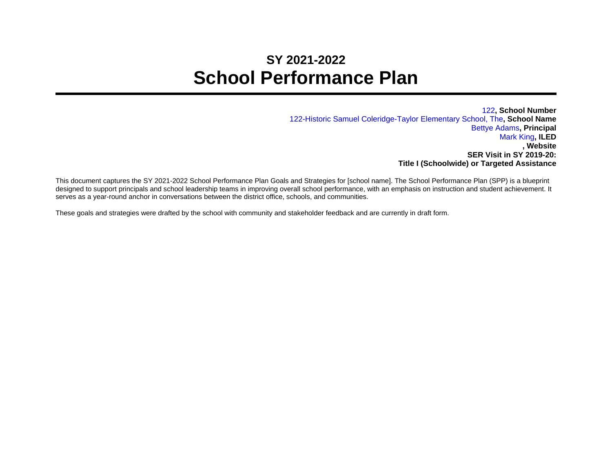## **SY 2021-2022 School Performance Plan**

122**, School Number** 122-Historic Samuel Coleridge-Taylor Elementary School, The**, School Name** Bettye Adams**, Principal** Mark King**, ILED , Website SER Visit in SY 2019-20: Title I (Schoolwide) or Targeted Assistance**

This document captures the SY 2021-2022 School Performance Plan Goals and Strategies for [school name]. The School Performance Plan (SPP) is a blueprint designed to support principals and school leadership teams in improving overall school performance, with an emphasis on instruction and student achievement. It serves as a year-round anchor in conversations between the district office, schools, and communities.

These goals and strategies were drafted by the school with community and stakeholder feedback and are currently in draft form.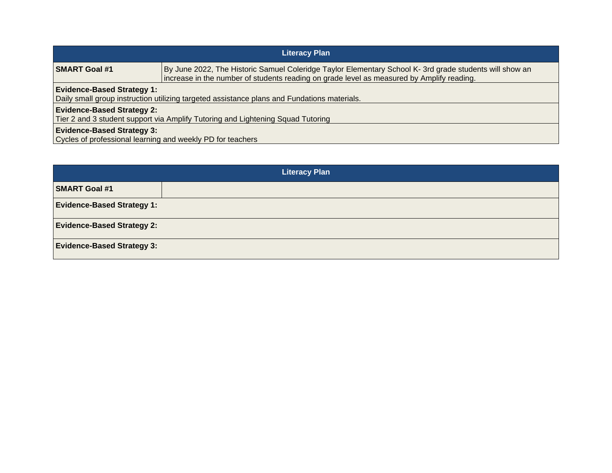| <b>Literacy Plan</b>                                                                                                             |                                                                                                                                                                                                      |  |
|----------------------------------------------------------------------------------------------------------------------------------|------------------------------------------------------------------------------------------------------------------------------------------------------------------------------------------------------|--|
| <b>SMART Goal #1</b>                                                                                                             | By June 2022, The Historic Samuel Coleridge Taylor Elementary School K- 3rd grade students will show an<br>increase in the number of students reading on grade level as measured by Amplify reading. |  |
| <b>Evidence-Based Strategy 1:</b><br>Daily small group instruction utilizing targeted assistance plans and Fundations materials. |                                                                                                                                                                                                      |  |
| <b>Evidence-Based Strategy 2:</b><br>Tier 2 and 3 student support via Amplify Tutoring and Lightening Squad Tutoring             |                                                                                                                                                                                                      |  |
| <b>Evidence-Based Strategy 3:</b><br>Cycles of professional learning and weekly PD for teachers                                  |                                                                                                                                                                                                      |  |

| <b>Literacy Plan</b>              |  |  |
|-----------------------------------|--|--|
| <b>SMART Goal #1</b>              |  |  |
| <b>Evidence-Based Strategy 1:</b> |  |  |
| <b>Evidence-Based Strategy 2:</b> |  |  |
| <b>Evidence-Based Strategy 3:</b> |  |  |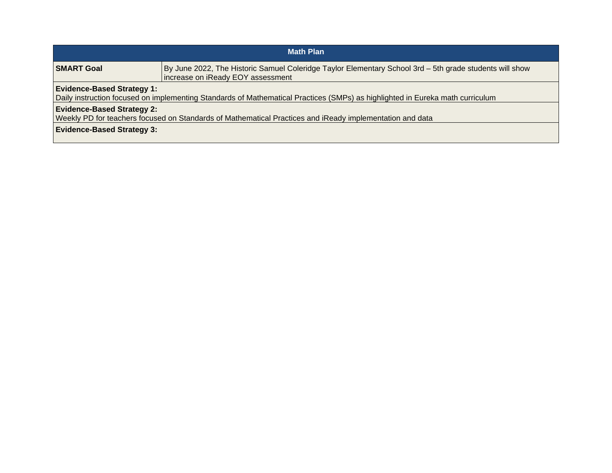| <b>Math Plan</b>                                                                                                                                                   |                                                                                                                                              |  |
|--------------------------------------------------------------------------------------------------------------------------------------------------------------------|----------------------------------------------------------------------------------------------------------------------------------------------|--|
| <b>SMART Goal</b>                                                                                                                                                  | By June 2022, The Historic Samuel Coleridge Taylor Elementary School 3rd - 5th grade students will show<br>increase on iReady EOY assessment |  |
| <b>Evidence-Based Strategy 1:</b><br>Daily instruction focused on implementing Standards of Mathematical Practices (SMPs) as highlighted in Eureka math curriculum |                                                                                                                                              |  |
| <b>Evidence-Based Strategy 2:</b><br>Weekly PD for teachers focused on Standards of Mathematical Practices and iReady implementation and data                      |                                                                                                                                              |  |
| <b>Evidence-Based Strategy 3:</b>                                                                                                                                  |                                                                                                                                              |  |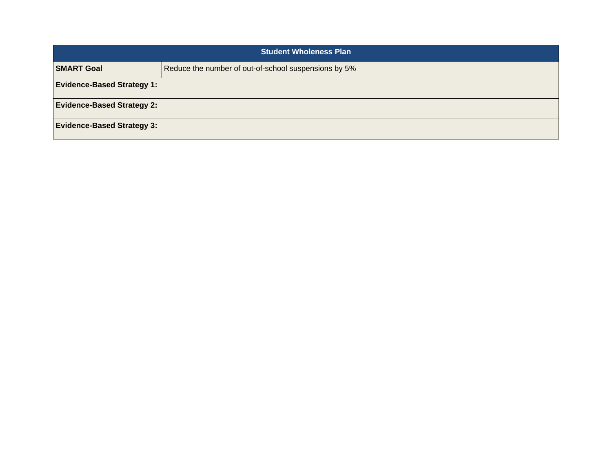| <b>Student Wholeness Plan</b>     |                                                      |
|-----------------------------------|------------------------------------------------------|
| <b>SMART Goal</b>                 | Reduce the number of out-of-school suspensions by 5% |
| <b>Evidence-Based Strategy 1:</b> |                                                      |
| <b>Evidence-Based Strategy 2:</b> |                                                      |
| <b>Evidence-Based Strategy 3:</b> |                                                      |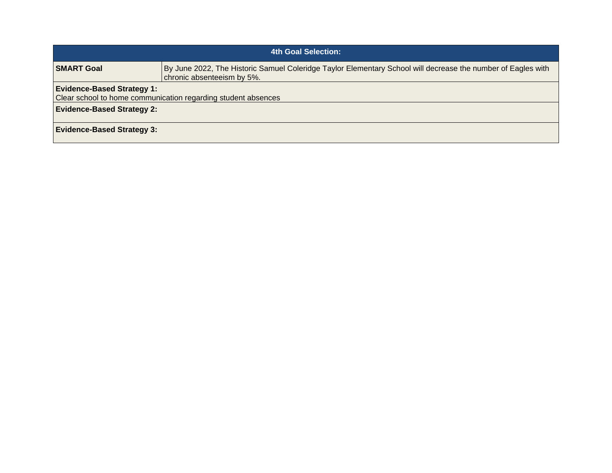| 4th Goal Selection:                                                                                |                                                                                                                                            |  |
|----------------------------------------------------------------------------------------------------|--------------------------------------------------------------------------------------------------------------------------------------------|--|
| <b>SMART Goal</b>                                                                                  | By June 2022, The Historic Samuel Coleridge Taylor Elementary School will decrease the number of Eagles with<br>chronic absenteeism by 5%. |  |
| <b>Evidence-Based Strategy 1:</b><br>Clear school to home communication regarding student absences |                                                                                                                                            |  |
| <b>Evidence-Based Strategy 2:</b>                                                                  |                                                                                                                                            |  |
| <b>Evidence-Based Strategy 3:</b>                                                                  |                                                                                                                                            |  |